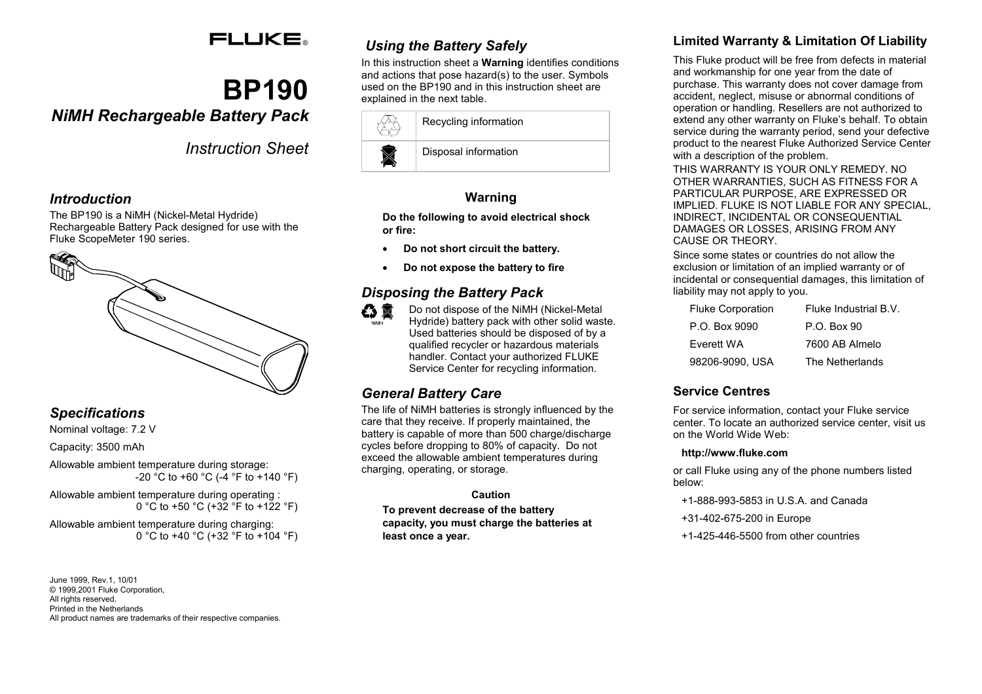## **FLUKE**

# **BP190**

## *NiMH Rechargeable Battery Pack*

*Instruction Sheet*

#### *Introduction*

The BP190 is a NiMH (Nickel-Metal Hydride) Rechargeable Battery Pack designed for use with the Fluke ScopeMeter 190 series.



#### *Specifications*

Nominal voltage: 7.2 V

Capacity: 3500 mAh

Allowable ambient temperature during storage: -20 °C to +60 °C (-4 °F to +140 °F)

Allowable ambient temperature during operating : 0 °C to +50 °C (+32 °F to +122 °F)

Allowable ambient temperature during charging: 0 °C to +40 °C (+32 °F to +104 °F)

June 1999, Rev.1, 10/01 © 1999,2001 Fluke Corporation, All rights reserved. Printed in the Netherlands All product names are trademarks of their respective companies.

## *Using the Battery Safely*

In this instruction sheet a **Warning** identifies conditions and actions that pose hazard(s) to the user. Symbols used on the BP190 and in this instruction sheet are explained in the next table.

| Recycling information |
|-----------------------|
| Disposal information  |

#### **Warning**

**Do the following to avoid electrical shock or fire:**

- •**Do not short circuit the battery.**
- •**Do not expose the battery to fire**

### *Disposing the Battery Pack*



Do not dispose of the NiMH (Nickel-Metal Hydride) battery pack with other solid waste. Used batteries should be disposed of by a qualified recycler or hazardous materials handler. Contact your authorized FLUKE Service Center for recycling information.

#### *General Battery Care*

The life of NiMH batteries is strongly influenced by the care that they receive. If properly maintained, the battery is capable of more than 500 charge/discharge cycles before dropping to 80% of capacity. Do not exceed the allowable ambient temperatures during charging, operating, or storage.

#### **Caution**

**To prevent decrease of the battery capacity, you must charge the batteries at least once a year.**

#### **Limited Warranty & Limitation Of Liability**

This Fluke product will be free from defects in material and workmanship for one year from the date of purchase. This warranty does not cover damage from accident, neglect, misuse or abnormal conditions of operation or handling. Resellers are not authorized to extend any other warranty on Fluke's behalf. To obtain service during the warranty period, send your defective product to the nearest Fluke Authorized Service Center with a description of the problem.

THIS WARRANTY IS YOUR ONLY REMEDY. NO OTHER WARRANTIES, SUCH AS FITNESS FOR A PARTICULAR PURPOSE, ARE EXPRESSED OR IMPLIED. FLUKE IS NOT LIABLE FOR ANY SPECIAL, INDIRECT, INCIDENTAL OR CONSEQUENTIAL DAMAGES OR LOSSES, ARISING FROM ANY CAUSE OR THEORY.

Since some states or countries do not allow the exclusion or limitation of an implied warranty or of incidental or consequential damages, this limitation of liability may not apply to you.

| <b>Fluke Corporation</b> | Fluke Industrial B.V. |
|--------------------------|-----------------------|
| P.O. Box 9090            | $P_{Q}$ . Box 90      |
| Everett WA               | 7600 AB Almelo        |
| 98206-9090. USA          | The Netherlands       |

#### **Service Centres**

For service information, contact your Fluke service center. To locate an authorized service center, visit us on the World Wide Web:

#### **http://www.fluke.com**

or call Fluke using any of the phone numbers listed below:

- +1-888-993-5853 in U.S.A. and Canada
- +31-402-675-200 in Europe
- +1-425-446-5500 from other countries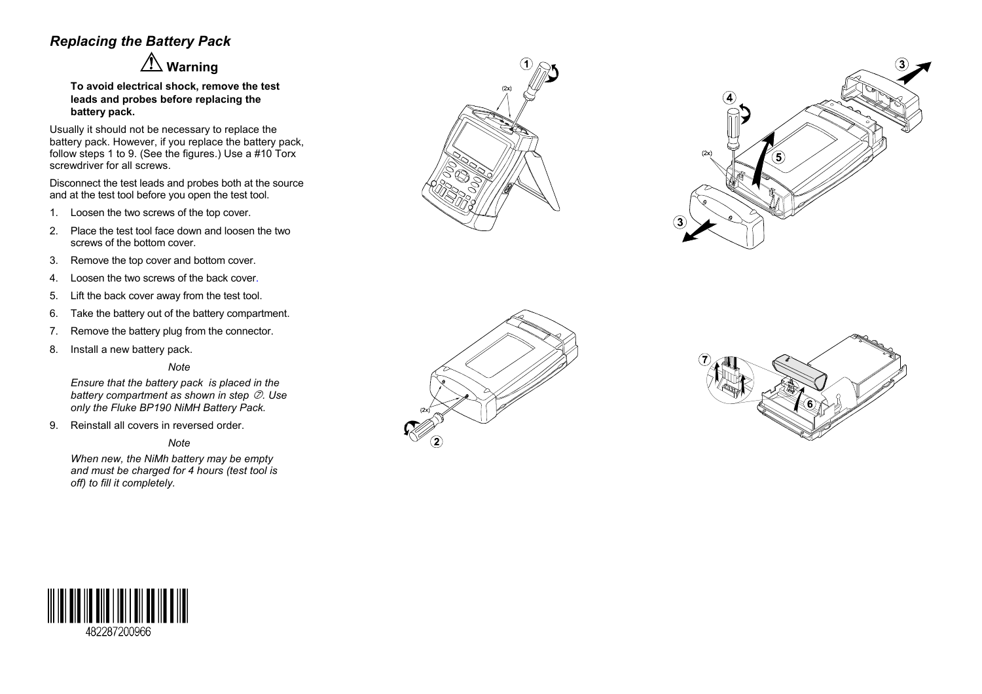#### *Replacing the Battery Pack*

 **Warning**

**To avoid electrical shock, remove the test leads and probes before replacing the battery pack.**

Usually it should not be necessary to replace the battery pack. However, if you replace the battery pack, follow steps 1 to 9. (See the figures.) Use a #10 Torx screwdriver for all screws.

Disconnect the test leads and probes both at the source and at the test tool before you open the test tool.

- 1. Loosen the two screws of the top cover.
- 2. Place the test tool face down and loosen the two screws of the bottom cover.
- 3. Remove the top cover and bottom cover.
- 4. Loosen the two screws of the back cover.
- 5. Lift the back cover away from the test tool.
- 6. Take the battery out of the battery compartment.
- 7. Remove the battery plug from the connector.
- 8. Install a new battery pack.

#### *Note*

*Ensure that the battery pack is placed in the battery compartment as shown in step . Use only the Fluke BP190 NiMH Battery Pack.*

9. Reinstall all covers in reversed order.

*Note*

*When new, the NiMh battery may be empty and must be charged for 4 hours (test tool is off) to fill it completely.*